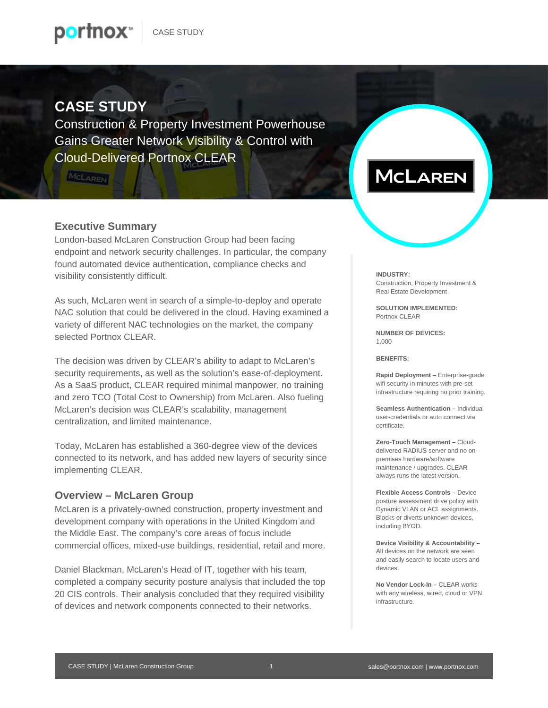## **CASE STUDY**

Construction & Property Investment Powerhouse Gains Greater Network Visibility & Control with Cloud-Delivered Portnox CLEAR

### **Executive Summary**

MCLAREN

London-based McLaren Construction Group had been facing endpoint and network security challenges. In particular, the company found automated device authentication, compliance checks and visibility consistently difficult.

As such, McLaren went in search of a simple-to-deploy and operate NAC solution that could be delivered in the cloud. Having examined a variety of different NAC technologies on the market, the company selected Portnox CLEAR.

The decision was driven by CLEAR's ability to adapt to McLaren's security requirements, as well as the solution's ease-of-deployment. As a SaaS product, CLEAR required minimal manpower, no training and zero TCO (Total Cost to Ownership) from McLaren. Also fueling McLaren's decision was CLEAR's scalability, management centralization, and limited maintenance.

Today, McLaren has established a 360-degree view of the devices connected to its network, and has added new layers of security since implementing CLEAR.

### **Overview – McLaren Group**

McLaren is a privately-owned construction, property investment and development company with operations in the United Kingdom and the Middle East. The company's core areas of focus include commercial offices, mixed-use buildings, residential, retail and more.

Daniel Blackman, McLaren's Head of IT, together with his team, completed a company security posture analysis that included the top 20 CIS controls. Their analysis concluded that they required visibility of devices and network components connected to their networks.

# **MCLAREN**

#### **INDUSTRY:**

Construction, Property Investment & Real Estate Development

**SOLUTION IMPLEMENTED:** Portnox CLEAR

**NUMBER OF DEVICES:** 1,000

#### **BENEFITS:**

**Rapid Deployment –** Enterprise-grade wifi security in minutes with pre-set infrastructure requiring no prior training.

**Seamless Authentication –** Individual user-credentials or auto connect via certificate.

**Zero-Touch Management –** Clouddelivered RADIUS server and no onpremises hardware/software maintenance / upgrades. CLEAR always runs the latest version.

**Flexible Access Controls –** Device posture assessment drive policy with Dynamic VLAN or ACL assignments. Blocks or diverts unknown devices, including BYOD.

**Device Visibility & Accountability –** All devices on the network are seen and easily search to locate users and devices.

**No Vendor Lock-In –** CLEAR works with any wireless, wired, cloud or VPN infrastructure.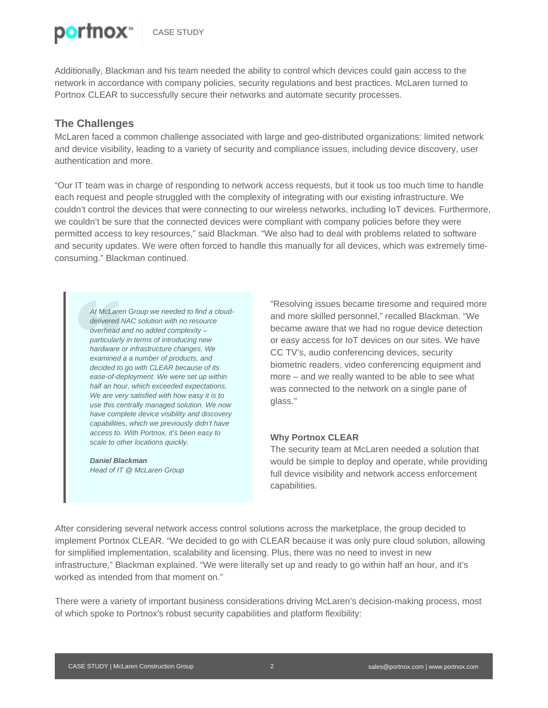

Additionally, Blackman and his team needed the ability to control which devices could gain access to the network in accordance with company policies, security regulations and best practices. McLaren turned to Portnox CLEAR to successfully secure their networks and automate security processes.

#### **The Challenges**

McLaren faced a common challenge associated with large and geo-distributed organizations: limited network and device visibility, leading to a variety of security and compliance issues, including device discovery, user authentication and more.

"Our IT team was in charge of responding to network access requests, but it took us too much time to handle each request and people struggled with the complexity of integrating with our existing infrastructure. We couldn't control the devices that were connecting to our wireless networks, including IoT devices. Furthermore, we couldn't be sure that the connected devices were compliant with company policies before they were permitted access to key resources," said Blackman. "We also had to deal with problems related to software and security updates. We were often forced to handle this manually for all devices, which was extremely timeconsuming." Blackman continued.

*At McLaren Group we needed to find a clouddelivered NAC solution with no resource overhead and no added complexity – particularly in terms of introducing new hardware or infrastructure changes. We examined a a number of products, and decided to go with CLEAR because of its ease-of-deployment. We were set up within half an hour, which exceeded expectations. We are very satisfied with how easy it is to use this centrally managed solution. We now have complete device visibility and discovery capabilities, which we previously didn't have access to. With Portnox, it's been easy to scale to other locations quickly.*

*Daniel Blackman Head of IT @ McLaren Group* "Resolving issues became tiresome and required more and more skilled personnel," recalled Blackman. "We became aware that we had no rogue device detection or easy access for IoT devices on our sites. We have CC TV's, audio conferencing devices, security biometric readers, video conferencing equipment and more – and we really wanted to be able to see what was connected to the network on a single pane of glass."

#### **Why Portnox CLEAR**

The security team at McLaren needed a solution that would be simple to deploy and operate, while providing full device visibility and network access enforcement capabilities.

After considering several network access control solutions across the marketplace, the group decided to implement Portnox CLEAR. "We decided to go with CLEAR because it was only pure cloud solution, allowing for simplified implementation, scalability and licensing. Plus, there was no need to invest in new infrastructure," Blackman explained. "We were literally set up and ready to go within half an hour, and it's worked as intended from that moment on."

There were a variety of important business considerations driving McLaren's decision-making process, most of which spoke to Portnox's robust security capabilities and platform flexibility: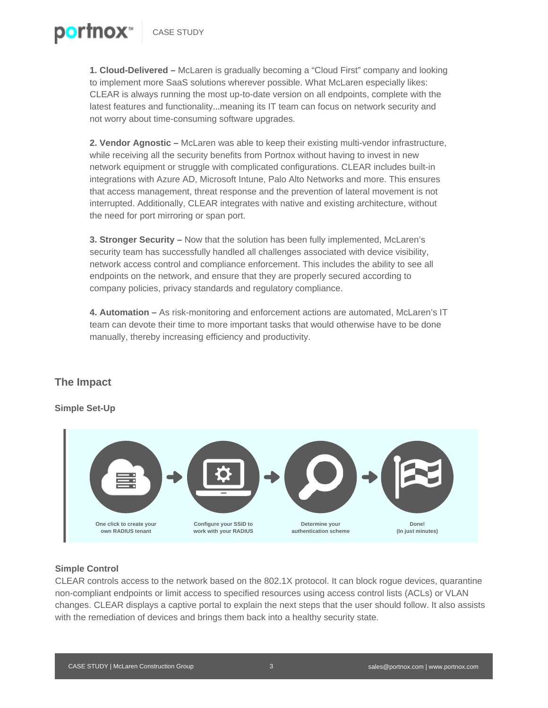**1. Cloud-Delivered –** McLaren is gradually becoming a "Cloud First" company and looking to implement more SaaS solutions wherever possible. What McLaren especially likes: CLEAR is always running the most up-to-date version on all endpoints, complete with the latest features and functionality…meaning its IT team can focus on network security and not worry about time-consuming software upgrades.

**2. Vendor Agnostic –** McLaren was able to keep their existing multi-vendor infrastructure, while receiving all the security benefits from Portnox without having to invest in new network equipment or struggle with complicated configurations. CLEAR includes built-in integrations with Azure AD, Microsoft Intune, Palo Alto Networks and more. This ensures that access management, threat response and the prevention of lateral movement is not interrupted. Additionally, CLEAR integrates with native and existing architecture, without the need for port mirroring or span port.

**3. Stronger Security –** Now that the solution has been fully implemented, McLaren's security team has successfully handled all challenges associated with device visibility, network access control and compliance enforcement. This includes the ability to see all endpoints on the network, and ensure that they are properly secured according to company policies, privacy standards and regulatory compliance.

**4. Automation –** As risk-monitoring and enforcement actions are automated, McLaren's IT team can devote their time to more important tasks that would otherwise have to be done manually, thereby increasing efficiency and productivity.

### **The Impact**

p<mark>o</mark>rtnox™

#### **Simple Set-Up**



#### **Simple Control**

CLEAR controls access to the network based on the 802.1X protocol. It can block rogue devices, quarantine non-compliant endpoints or limit access to specified resources using access control lists (ACLs) or VLAN changes. CLEAR displays a captive portal to explain the next steps that the user should follow. It also assists with the remediation of devices and brings them back into a healthy security state.